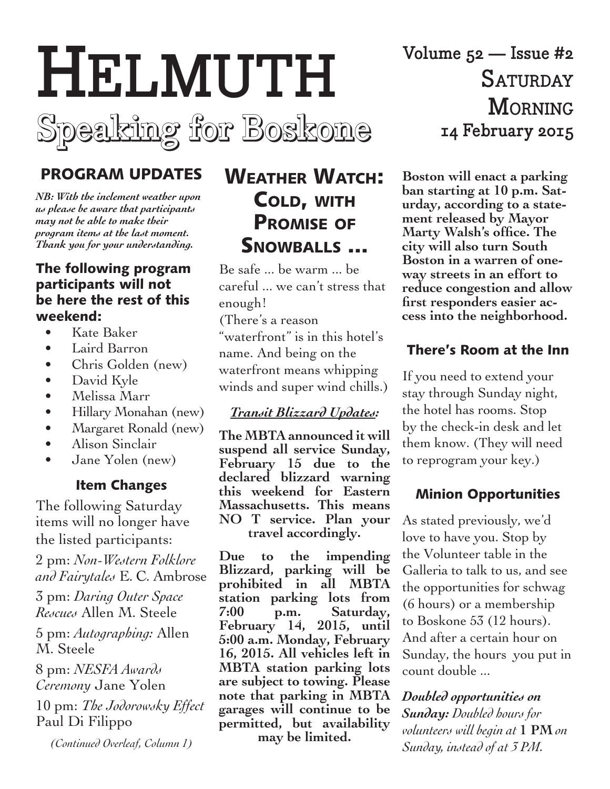

# PROGRAM UPDATES

*NB: With the inclement weather upon us please be aware that participants may not be able to make their program items at the last moment. Thank you for your understanding.*

#### The following program participants will not be here the rest of this weekend:

- • Kate Baker
- • Laird Barron
- Chris Golden (new)
- David Kyle
- • Melissa Marr
- Hillary Monahan (new)
- Margaret Ronald (new)
- Alison Sinclair
- Jane Yolen (new)

#### Item Changes

The following Saturday items will no longer have the listed participants:

2 pm: *Non-Western Folklore and Fairytales* E. C. Ambrose

3 pm: *Daring Outer Space Rescues* Allen M. Steele

5 pm: *Autographing:* Allen M. Steele

8 pm: *NESFA Awards Ceremony* Jane Yolen

10 pm: *The Jodorowsky Effect* Paul Di Filippo

*(Continued Overleaf, Column 1)*

# Weather Watch: Cold, with Promise of SNOWBALLS ...

Be safe ... be warm ... be careful ... we can't stress that enough!

(There's a reason "waterfront" is in this hotel's name. And being on the waterfront means whipping winds and super wind chills.)

### *Transit Blizzard Updates:*

**The MBTA announced it will suspend all service Sunday, February 15 due to the declared blizzard warning this weekend for Eastern Massachusetts. This means NO T service. Plan your travel accordingly.**

**Due to the impending Blizzard, parking will be prohibited in all MBTA station parking lots from 7:00 p.m. Saturday, February 14, 2015, until 5:00 a.m. Monday, February 16, 2015. All vehicles left in MBTA station parking lots are subject to towing. Please note that parking in MBTA garages will continue to be permitted, but availability may be limited.**

**Volume 52 — Issue #2 Saturday Morning 14 February 2015**

**Boston will enact a parking ban starting at 10 p.m. Saturday, according to a statement released by Mayor Marty Walsh's office. The city will also turn South Boston in a warren of oneway streets in an effort to reduce congestion and allow first responders easier access into the neighborhood.**

### There's Room at the Inn

If you need to extend your stay through Sunday night, the hotel has rooms. Stop by the check-in desk and let them know. (They will need to reprogram your key.)

#### Minion Opportunities

As stated previously, we'd love to have you. Stop by the Volunteer table in the Galleria to talk to us, and see the opportunities for schwag (6 hours) or a membership to Boskone 53 (12 hours). And after a certain hour on Sunday, the hours you put in count double ...

*Doubled opportunities on Sunday: Doubled hours for volunteers will begin at* **1 PM** *on Sunday, instead of at 3 PM.*